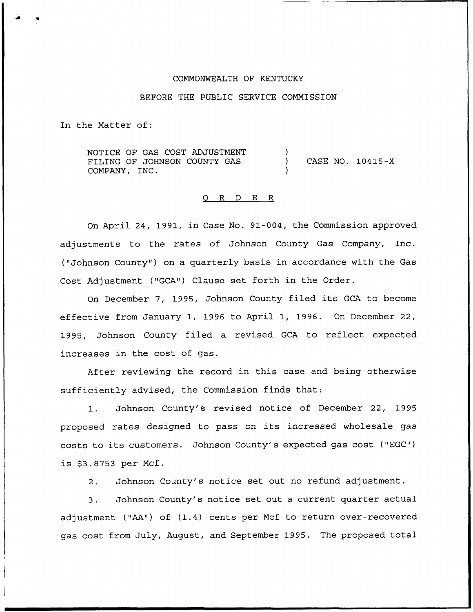## COMMONWEALTH OF KENTUCKY

## BEFORE THE PUBLIC SERVICE COMMISSION

In the Matter of:

NOTICE OF GAS COST ADJUSTMENT FILING OF JOHNSON COUNTY GAS COMPANY, INC. ) ) CASE NO. 10415-X )

#### 0 R <sup>D</sup> E R

On April 24, 1991, in Case No. 91-004, the Commission approved adjustments to the rates of Johnson County Gas Company, Inc. ("Johnson County" ) on a quarterly basis in accordance with the Gas Cost Adjustment ("GCA") Clause set forth in the Order.

On December 7, 1995, Johnson County filed its GCA to become effective from January 1, 1996 to April 1, 1996. On December 22, 1995, Johnson County filed a revised GCA to reflect expected increases in the cost of gas.

After reviewing the record in this case and being otherwise sufficiently advised, the Commission finds that:

1. Johnson County's revised notice of December 22, 1995 proposed rates designed to pass on its increased wholesale gas costs to its customers. Johnson County's expected gas cost ("EGC") is \$3.8753 per Mcf.

2. Johnson County's notice set out no refund adjustment.

3. Johnson County's notice set out a current quarter actual adjustment ("AA") of (1.4) cents per Mcf to return over-recovered gas cost from July, August, and September 1995. The proposed total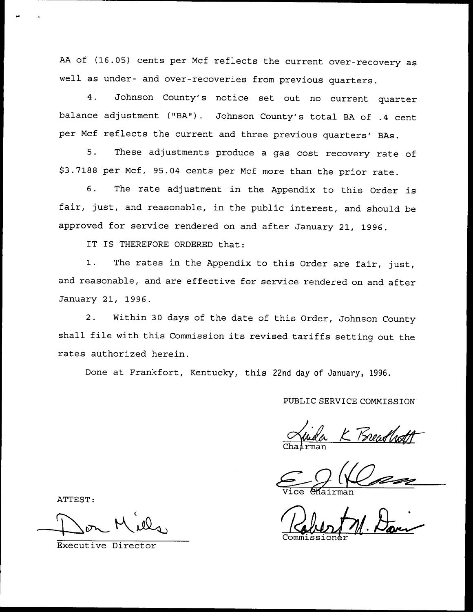AA of (16.05) cents per Mcf reflects the current over-recovery as well as under- and over-recoveries from previous quarters.

4. Johnson County's notice set out no current quarter balance adjustment ("BA"). Johnson County's total BA of .4 cent per Mcf reflects the current and three previous quarters' BAs.

5. These adjustments produce <sup>a</sup> gas cost recovery rate of \$ 3.7188 per Mcf, 95.04 cents per Mcf more than the prior rate.

6. The rate adjustment in the Appendix to this Order is fair, just, and reasonable, in the public interest, and should be approved for service rendered on and after January 21, 1996.

IT IS THEREFORE ORDERED that:

1. The rates in the Appendix to this Order are fair, just, and reasonable, and are effective for service rendered on and after January 21, 1996.

2. Within 30 days of the date of this Order, Johnson County shall file with this Commission its revised tariffs setting out the rates authorized herein.

Done at Frankfort, Kentucky, this 22nd day of January, 1996.

PUBLIC SERVICE COMMISSION

K Breadh Chairma

Vice *Mairma* 

Robert M. Davi

Commissione

ATTEST:

Executive Director